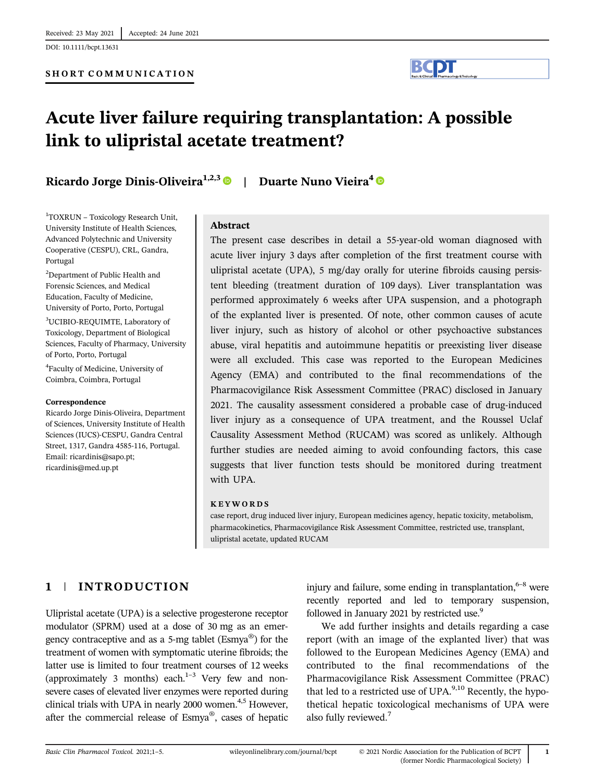DOI: 10.1111/bcpt.13631



# Acute liver failure requiring transplantation: A possible link to ulipristal acetate treatment?

Ricardo Jorge Dinis-Oliveira<sup>1,2,3</sup> | Duarte Nuno Vieira<sup>4</sup> <sup>O</sup>

1 TOXRUN – Toxicology Research Unit, University Institute of Health Sciences, Advanced Polytechnic and University Cooperative (CESPU), CRL, Gandra, Portugal

2 Department of Public Health and Forensic Sciences, and Medical Education, Faculty of Medicine, University of Porto, Porto, Portugal

3 UCIBIO-REQUIMTE, Laboratory of Toxicology, Department of Biological Sciences, Faculty of Pharmacy, University of Porto, Porto, Portugal

4 Faculty of Medicine, University of Coimbra, Coimbra, Portugal

### Correspondence

Ricardo Jorge Dinis-Oliveira, Department of Sciences, University Institute of Health Sciences (IUCS)-CESPU, Gandra Central Street, 1317, Gandra 4585-116, Portugal. Email: [ricardinis@sapo.pt;](mailto:ricardinis@sapo.pt) [ricardinis@med.up.pt](mailto:ricardinis@med.up.pt)

### Abstract

The present case describes in detail a 55-year-old woman diagnosed with acute liver injury 3 days after completion of the first treatment course with ulipristal acetate (UPA), 5 mg/day orally for uterine fibroids causing persistent bleeding (treatment duration of 109 days). Liver transplantation was performed approximately 6 weeks after UPA suspension, and a photograph of the explanted liver is presented. Of note, other common causes of acute liver injury, such as history of alcohol or other psychoactive substances abuse, viral hepatitis and autoimmune hepatitis or preexisting liver disease were all excluded. This case was reported to the European Medicines Agency (EMA) and contributed to the final recommendations of the Pharmacovigilance Risk Assessment Committee (PRAC) disclosed in January 2021. The causality assessment considered a probable case of drug-induced liver injury as a consequence of UPA treatment, and the Roussel Uclaf Causality Assessment Method (RUCAM) was scored as unlikely. Although further studies are needed aiming to avoid confounding factors, this case suggests that liver function tests should be monitored during treatment with UPA.

### KEYWORDS

case report, drug induced liver injury, European medicines agency, hepatic toxicity, metabolism, pharmacokinetics, Pharmacovigilance Risk Assessment Committee, restricted use, transplant, ulipristal acetate, updated RUCAM

# 1 | INTRODUCTION

Ulipristal acetate (UPA) is a selective progesterone receptor modulator (SPRM) used at a dose of 30 mg as an emergency contraceptive and as a 5-mg tablet ( $Esmya^{\omega}$ ) for the treatment of women with symptomatic uterine fibroids; the latter use is limited to four treatment courses of 12 weeks (approximately 3 months) each. $1-3$  Very few and nonsevere cases of elevated liver enzymes were reported during clinical trials with UPA in nearly 2000 women.<sup>4,5</sup> However, after the commercial release of Esmya®, cases of hepatic injury and failure, some ending in transplantation,  $6-8$  were recently reported and led to temporary suspension, followed in January 2021 by restricted use.<sup>9</sup>

We add further insights and details regarding a case report (with an image of the explanted liver) that was followed to the European Medicines Agency (EMA) and contributed to the final recommendations of the Pharmacovigilance Risk Assessment Committee (PRAC) that led to a restricted use of UPA. $9,10$  Recently, the hypothetical hepatic toxicological mechanisms of UPA were also fully reviewed.7

1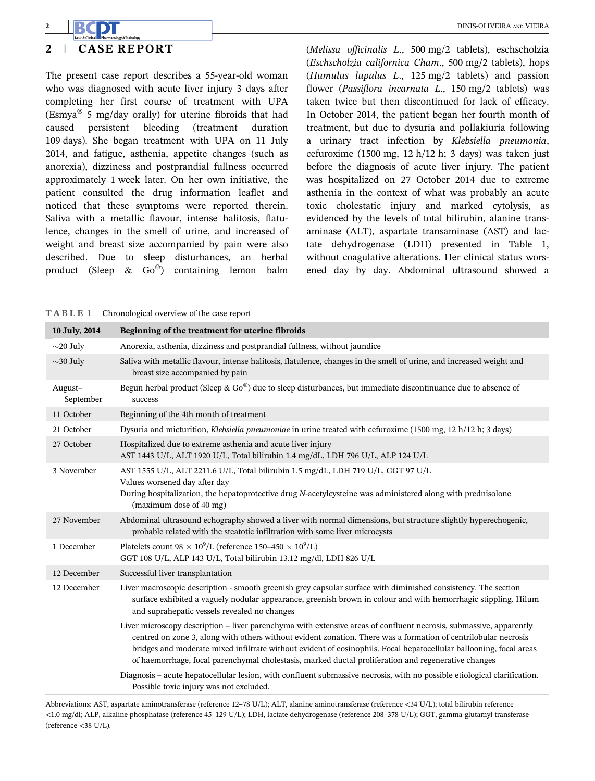# 2 | CASE REPORT

The present case report describes a 55-year-old woman who was diagnosed with acute liver injury 3 days after completing her first course of treatment with UPA (Esmya® 5 mg/day orally) for uterine fibroids that had caused persistent bleeding (treatment duration 109 days). She began treatment with UPA on 11 July 2014, and fatigue, asthenia, appetite changes (such as anorexia), dizziness and postprandial fullness occurred approximately 1 week later. On her own initiative, the patient consulted the drug information leaflet and noticed that these symptoms were reported therein. Saliva with a metallic flavour, intense halitosis, flatulence, changes in the smell of urine, and increased of weight and breast size accompanied by pain were also described. Due to sleep disturbances, an herbal product (Sleep & Go®) containing lemon balm (Melissa officinalis L., 500 mg/2 tablets), eschscholzia (Eschscholzia californica Cham., 500 mg/2 tablets), hops (Humulus lupulus L., 125 mg/2 tablets) and passion flower (Passiflora incarnata L., 150 mg/2 tablets) was taken twice but then discontinued for lack of efficacy. In October 2014, the patient began her fourth month of treatment, but due to dysuria and pollakiuria following a urinary tract infection by Klebsiella pneumonia, cefuroxime (1500 mg, 12 h/12 h; 3 days) was taken just before the diagnosis of acute liver injury. The patient was hospitalized on 27 October 2014 due to extreme asthenia in the context of what was probably an acute toxic cholestatic injury and marked cytolysis, as evidenced by the levels of total bilirubin, alanine transaminase (ALT), aspartate transaminase (AST) and lactate dehydrogenase (LDH) presented in Table 1, without coagulative alterations. Her clinical status worsened day by day. Abdominal ultrasound showed a

TABLE 1 Chronological overview of the case report

| 10 July, 2014        | Beginning of the treatment for uterine fibroids                                                                                                                                                                                                                                                                                                                                                                                                                   |
|----------------------|-------------------------------------------------------------------------------------------------------------------------------------------------------------------------------------------------------------------------------------------------------------------------------------------------------------------------------------------------------------------------------------------------------------------------------------------------------------------|
| $\sim$ 20 July       | Anorexia, asthenia, dizziness and postprandial fullness, without jaundice                                                                                                                                                                                                                                                                                                                                                                                         |
| $\sim$ 30 July       | Saliva with metallic flavour, intense halitosis, flatulence, changes in the smell of urine, and increased weight and<br>breast size accompanied by pain                                                                                                                                                                                                                                                                                                           |
| August-<br>September | Begun herbal product (Sleep & Go®) due to sleep disturbances, but immediate discontinuance due to absence of<br>success                                                                                                                                                                                                                                                                                                                                           |
| 11 October           | Beginning of the 4th month of treatment                                                                                                                                                                                                                                                                                                                                                                                                                           |
| 21 October           | Dysuria and micturition, Klebsiella pneumoniae in urine treated with cefuroxime (1500 mg, 12 h/12 h; 3 days)                                                                                                                                                                                                                                                                                                                                                      |
| 27 October           | Hospitalized due to extreme asthenia and acute liver injury<br>AST 1443 U/L, ALT 1920 U/L, Total bilirubin 1.4 mg/dL, LDH 796 U/L, ALP 124 U/L                                                                                                                                                                                                                                                                                                                    |
| 3 November           | AST 1555 U/L, ALT 2211.6 U/L, Total bilirubin 1.5 mg/dL, LDH 719 U/L, GGT 97 U/L<br>Values worsened day after day<br>During hospitalization, the hepatoprotective drug N-acetylcysteine was administered along with prednisolone<br>(maximum dose of 40 mg)                                                                                                                                                                                                       |
| 27 November          | Abdominal ultrasound echography showed a liver with normal dimensions, but structure slightly hyperechogenic,<br>probable related with the steatotic infiltration with some liver microcysts                                                                                                                                                                                                                                                                      |
| 1 December           | Platelets count 98 $\times$ 10 <sup>9</sup> /L (reference 150–450 $\times$ 10 <sup>9</sup> /L)<br>GGT 108 U/L, ALP 143 U/L, Total bilirubin 13.12 mg/dl, LDH 826 U/L                                                                                                                                                                                                                                                                                              |
| 12 December          | Successful liver transplantation                                                                                                                                                                                                                                                                                                                                                                                                                                  |
| 12 December          | Liver macroscopic description - smooth greenish grey capsular surface with diminished consistency. The section<br>surface exhibited a vaguely nodular appearance, greenish brown in colour and with hemorrhagic stippling. Hilum<br>and suprahepatic vessels revealed no changes                                                                                                                                                                                  |
|                      | Liver microscopy description - liver parenchyma with extensive areas of confluent necrosis, submassive, apparently<br>centred on zone 3, along with others without evident zonation. There was a formation of centrilobular necrosis<br>bridges and moderate mixed infiltrate without evident of eosinophils. Focal hepatocellular ballooning, focal areas<br>of haemorrhage, focal parenchymal cholestasis, marked ductal proliferation and regenerative changes |
|                      | Diagnosis – acute hepatocellular lesion, with confluent submassive necrosis, with no possible etiological clarification.<br>Possible toxic injury was not excluded.                                                                                                                                                                                                                                                                                               |

Abbreviations: AST, aspartate aminotransferase (reference 12–78 U/L); ALT, alanine aminotransferase (reference <34 U/L); total bilirubin reference <1.0 mg/dl; ALP, alkaline phosphatase (reference 45–129 U/L); LDH, lactate dehydrogenase (reference 208–378 U/L); GGT, gamma-glutamyl transferase (reference <38 U/L).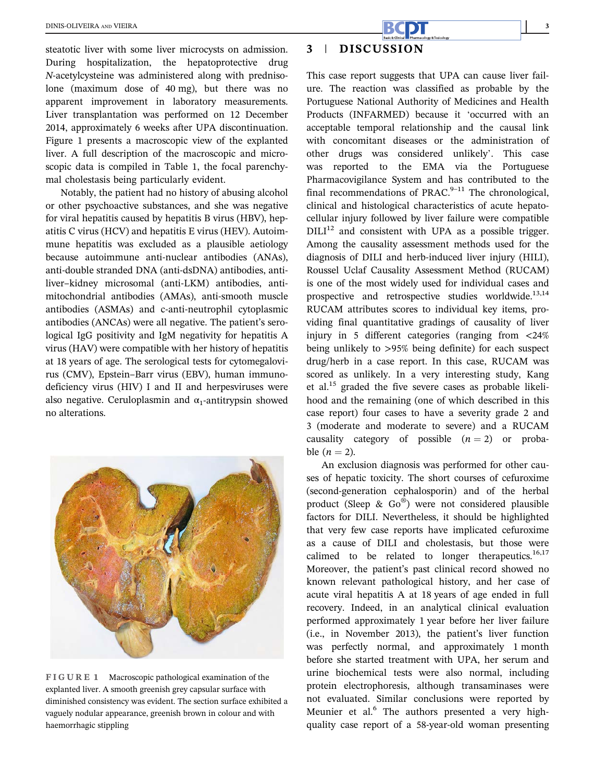steatotic liver with some liver microcysts on admission. During hospitalization, the hepatoprotective drug N-acetylcysteine was administered along with prednisolone (maximum dose of 40 mg), but there was no apparent improvement in laboratory measurements. Liver transplantation was performed on 12 December 2014, approximately 6 weeks after UPA discontinuation. Figure 1 presents a macroscopic view of the explanted liver. A full description of the macroscopic and microscopic data is compiled in Table 1, the focal parenchymal cholestasis being particularly evident.

Notably, the patient had no history of abusing alcohol or other psychoactive substances, and she was negative for viral hepatitis caused by hepatitis B virus (HBV), hepatitis C virus (HCV) and hepatitis E virus (HEV). Autoimmune hepatitis was excluded as a plausible aetiology because autoimmune anti-nuclear antibodies (ANAs), anti-double stranded DNA (anti-dsDNA) antibodies, antiliver–kidney microsomal (anti-LKM) antibodies, antimitochondrial antibodies (AMAs), anti-smooth muscle antibodies (ASMAs) and c-anti-neutrophil cytoplasmic antibodies (ANCAs) were all negative. The patient's serological IgG positivity and IgM negativity for hepatitis A virus (HAV) were compatible with her history of hepatitis at 18 years of age. The serological tests for cytomegalovirus (CMV), Epstein–Barr virus (EBV), human immunodeficiency virus (HIV) I and II and herpesviruses were also negative. Ceruloplasmin and  $\alpha_1$ -antitrypsin showed no alterations.



FIGURE 1 Macroscopic pathological examination of the explanted liver. A smooth greenish grey capsular surface with diminished consistency was evident. The section surface exhibited a vaguely nodular appearance, greenish brown in colour and with haemorrhagic stippling

# 3 | DISCUSSION

This case report suggests that UPA can cause liver failure. The reaction was classified as probable by the Portuguese National Authority of Medicines and Health Products (INFARMED) because it 'occurred with an acceptable temporal relationship and the causal link with concomitant diseases or the administration of other drugs was considered unlikely'. This case was reported to the EMA via the Portuguese Pharmacovigilance System and has contributed to the final recommendations of PRAC. $9-11$  The chronological, clinical and histological characteristics of acute hepatocellular injury followed by liver failure were compatible  $DILI<sup>12</sup>$  and consistent with UPA as a possible trigger. Among the causality assessment methods used for the diagnosis of DILI and herb-induced liver injury (HILI), Roussel Uclaf Causality Assessment Method (RUCAM) is one of the most widely used for individual cases and prospective and retrospective studies worldwide.<sup>13,14</sup> RUCAM attributes scores to individual key items, providing final quantitative gradings of causality of liver injury in 5 different categories (ranging from  $\langle 24\%$ ) being unlikely to >95% being definite) for each suspect drug/herb in a case report. In this case, RUCAM was scored as unlikely. In a very interesting study, Kang et al.15 graded the five severe cases as probable likelihood and the remaining (one of which described in this case report) four cases to have a severity grade 2 and 3 (moderate and moderate to severe) and a RUCAM causality category of possible  $(n = 2)$  or probable  $(n = 2)$ .

An exclusion diagnosis was performed for other causes of hepatic toxicity. The short courses of cefuroxime (second-generation cephalosporin) and of the herbal product (Sleep & Go®) were not considered plausible factors for DILI. Nevertheless, it should be highlighted that very few case reports have implicated cefuroxime as a cause of DILI and cholestasis, but those were calimed to be related to longer therapeutics. $16,17$ Moreover, the patient's past clinical record showed no known relevant pathological history, and her case of acute viral hepatitis A at 18 years of age ended in full recovery. Indeed, in an analytical clinical evaluation performed approximately 1 year before her liver failure (i.e., in November 2013), the patient's liver function was perfectly normal, and approximately 1 month before she started treatment with UPA, her serum and urine biochemical tests were also normal, including protein electrophoresis, although transaminases were not evaluated. Similar conclusions were reported by Meunier et al.<sup>6</sup> The authors presented a very highquality case report of a 58-year-old woman presenting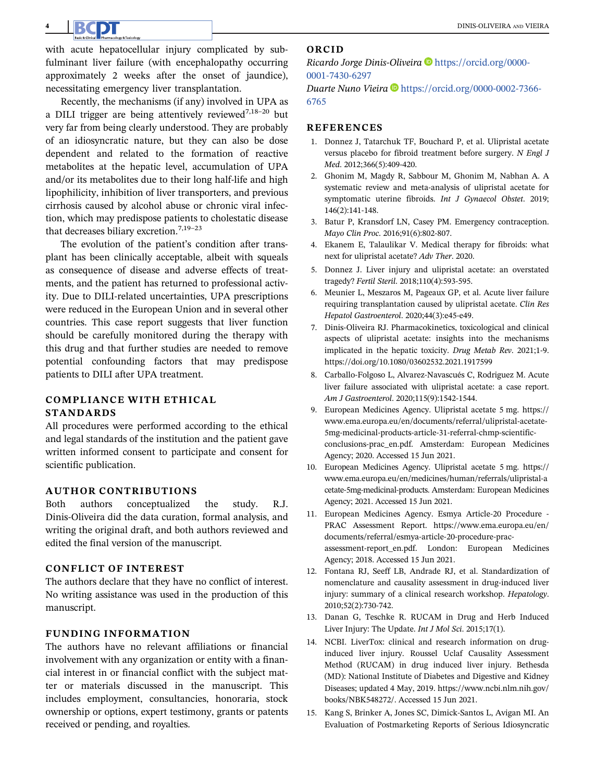with acute hepatocellular injury complicated by subfulminant liver failure (with encephalopathy occurring approximately 2 weeks after the onset of jaundice), necessitating emergency liver transplantation.

Recently, the mechanisms (if any) involved in UPA as a DILI trigger are being attentively reviewed<sup>7,18–20</sup> but very far from being clearly understood. They are probably of an idiosyncratic nature, but they can also be dose dependent and related to the formation of reactive metabolites at the hepatic level, accumulation of UPA and/or its metabolites due to their long half-life and high lipophilicity, inhibition of liver transporters, and previous cirrhosis caused by alcohol abuse or chronic viral infection, which may predispose patients to cholestatic disease that decreases biliary excretion.<sup>7,19-23</sup>

The evolution of the patient's condition after transplant has been clinically acceptable, albeit with squeals as consequence of disease and adverse effects of treatments, and the patient has returned to professional activity. Due to DILI-related uncertainties, UPA prescriptions were reduced in the European Union and in several other countries. This case report suggests that liver function should be carefully monitored during the therapy with this drug and that further studies are needed to remove potential confounding factors that may predispose patients to DILI after UPA treatment.

# COMPLIANCE WITH ETHICAL STANDARDS

All procedures were performed according to the ethical and legal standards of the institution and the patient gave written informed consent to participate and consent for scientific publication.

# AUTHOR CONTRIBUTIONS

Both authors conceptualized the study. R.J. Dinis-Oliveira did the data curation, formal analysis, and writing the original draft, and both authors reviewed and edited the final version of the manuscript.

## CONFLICT OF INTEREST

The authors declare that they have no conflict of interest. No writing assistance was used in the production of this manuscript.

# FUNDING INFORMATION

The authors have no relevant affiliations or financial involvement with any organization or entity with a financial interest in or financial conflict with the subject matter or materials discussed in the manuscript. This includes employment, consultancies, honoraria, stock ownership or options, expert testimony, grants or patents received or pending, and royalties.

## ORCID

Ricardo Jorge Dinis-Oliveira [https://orcid.org/0000-](https://orcid.org/0000-0001-7430-6297) [0001-7430-6297](https://orcid.org/0000-0001-7430-6297)

Duarte Nuno Vieira  $\blacksquare$  [https://orcid.org/0000-0002-7366-](https://orcid.org/0000-0002-7366-6765) [6765](https://orcid.org/0000-0002-7366-6765)

### REFERENCES

- 1. Donnez J, Tatarchuk TF, Bouchard P, et al. Ulipristal acetate versus placebo for fibroid treatment before surgery. N Engl J Med. 2012;366(5):409-420.
- 2. Ghonim M, Magdy R, Sabbour M, Ghonim M, Nabhan A. A systematic review and meta-analysis of ulipristal acetate for symptomatic uterine fibroids. Int J Gynaecol Obstet. 2019; 146(2):141-148.
- 3. Batur P, Kransdorf LN, Casey PM. Emergency contraception. Mayo Clin Proc. 2016;91(6):802-807.
- 4. Ekanem E, Talaulikar V. Medical therapy for fibroids: what next for ulipristal acetate? Adv Ther. 2020.
- 5. Donnez J. Liver injury and ulipristal acetate: an overstated tragedy? Fertil Steril. 2018;110(4):593-595.
- 6. Meunier L, Meszaros M, Pageaux GP, et al. Acute liver failure requiring transplantation caused by ulipristal acetate. Clin Res Hepatol Gastroenterol. 2020;44(3):e45-e49.
- 7. Dinis-Oliveira RJ. Pharmacokinetics, toxicological and clinical aspects of ulipristal acetate: insights into the mechanisms implicated in the hepatic toxicity. Drug Metab Rev. 2021;1-9. <https://doi.org/10.1080/03602532.2021.1917599>
- 8. Carballo-Folgoso L, Alvarez-Navascués C, Rodriguez M. Acute liver failure associated with ulipristal acetate: a case report. Am J Gastroenterol. 2020;115(9):1542-1544.
- 9. European Medicines Agency. Ulipristal acetate 5 mg. [https://](https://www.ema.europa.eu/en/documents/referral/ulipristal-acetate-5mg-medicinal-products-article-31-referral-chmp-scientific-conclusions-prac_en.pdf) [www.ema.europa.eu/en/documents/referral/ulipristal-acetate-](https://www.ema.europa.eu/en/documents/referral/ulipristal-acetate-5mg-medicinal-products-article-31-referral-chmp-scientific-conclusions-prac_en.pdf)[5mg-medicinal-products-article-31-referral-chmp-scientific](https://www.ema.europa.eu/en/documents/referral/ulipristal-acetate-5mg-medicinal-products-article-31-referral-chmp-scientific-conclusions-prac_en.pdf)[conclusions-prac\\_en.pdf.](https://www.ema.europa.eu/en/documents/referral/ulipristal-acetate-5mg-medicinal-products-article-31-referral-chmp-scientific-conclusions-prac_en.pdf) Amsterdam: European Medicines Agency; 2020. Accessed 15 Jun 2021.
- 10. European Medicines Agency. Ulipristal acetate 5 mg. [https://](https://www.ema.europa.eu/en/medicines/human/referrals/ulipristal-acetate-5mg-medicinal-products) [www.ema.europa.eu/en/medicines/human/referrals/ulipristal-a](https://www.ema.europa.eu/en/medicines/human/referrals/ulipristal-acetate-5mg-medicinal-products) [cetate-5mg-medicinal-products](https://www.ema.europa.eu/en/medicines/human/referrals/ulipristal-acetate-5mg-medicinal-products). Amsterdam: European Medicines Agency; 2021. Accessed 15 Jun 2021.
- 11. European Medicines Agency. Esmya Article-20 Procedure PRAC Assessment Report. [https://www.ema.europa.eu/en/](https://www.ema.europa.eu/en/documents/referral/esmya-article-20-procedure-prac-assessment-report_en.pdf) [documents/referral/esmya-article-20-procedure-prac](https://www.ema.europa.eu/en/documents/referral/esmya-article-20-procedure-prac-assessment-report_en.pdf)[assessment-report\\_en.pdf.](https://www.ema.europa.eu/en/documents/referral/esmya-article-20-procedure-prac-assessment-report_en.pdf) London: European Medicines Agency; 2018. Accessed 15 Jun 2021.
- 12. Fontana RJ, Seeff LB, Andrade RJ, et al. Standardization of nomenclature and causality assessment in drug-induced liver injury: summary of a clinical research workshop. Hepatology. 2010;52(2):730-742.
- 13. Danan G, Teschke R. RUCAM in Drug and Herb Induced Liver Injury: The Update. Int J Mol Sci. 2015;17(1).
- 14. NCBI. LiverTox: clinical and research information on druginduced liver injury. Roussel Uclaf Causality Assessment Method (RUCAM) in drug induced liver injury. Bethesda (MD): National Institute of Diabetes and Digestive and Kidney Diseases; updated 4 May, 2019. [https://www.ncbi.nlm.nih.gov/](https://www.ncbi.nlm.nih.gov/books/NBK548272/) [books/NBK548272/.](https://www.ncbi.nlm.nih.gov/books/NBK548272/) Accessed 15 Jun 2021.
- 15. Kang S, Brinker A, Jones SC, Dimick-Santos L, Avigan MI. An Evaluation of Postmarketing Reports of Serious Idiosyncratic